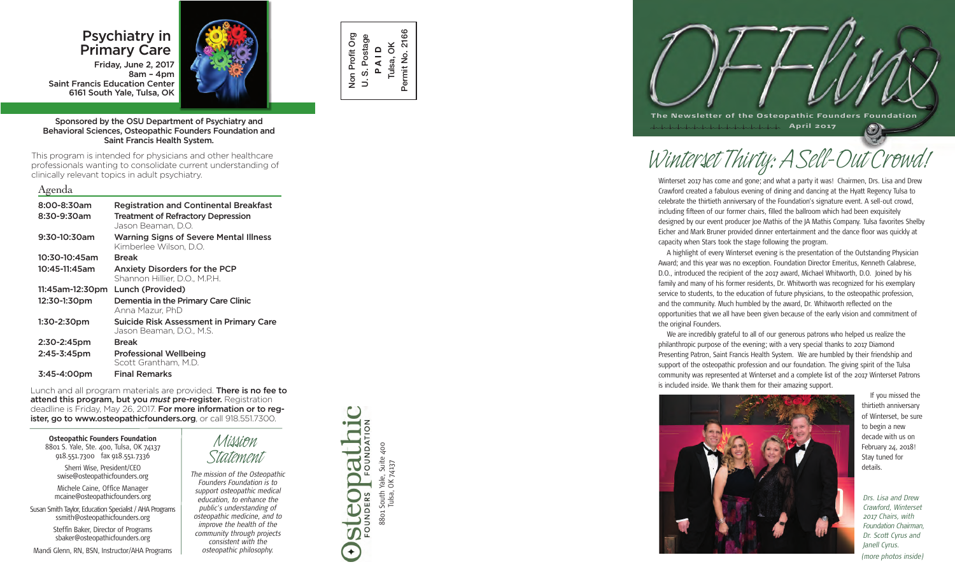# Psychiatry in Primary Care

Friday, June 2, 2017 8am – 4pm Saint Francis Education Center 6161 South Yale, Tulsa, OK



Sponsored by the OSU Department of Psychiatry and Behavioral Sciences, Osteopathic Founders Foundation and Saint Francis Health System.

This program is intended for physicians and other healthcare professionals wanting to consolidate current understanding of clinically relevant topics in adult psychiatry.

## Agenda

| 8:00-8:30am<br>8:30-9:30am | <b>Registration and Continental Breakfast</b><br><b>Treatment of Refractory Depression</b><br>Jason Beaman, D.O. |
|----------------------------|------------------------------------------------------------------------------------------------------------------|
| 9:30-10:30am               | <b>Warning Signs of Severe Mental Illness</b><br>Kimberlee Wilson, D.O.                                          |
| 10:30-10:45am              | <b>Break</b>                                                                                                     |
| 10:45-11:45am              | <b>Anxiety Disorders for the PCP</b><br>Shannon Hillier, D.O., M.P.H.                                            |
| 11:45am-12:30pm            | Lunch (Provided)                                                                                                 |
| 12:30-1:30pm               | Dementia in the Primary Care Clinic<br>Anna Mazur, PhD                                                           |
| 1:30-2:30pm                | <b>Suicide Risk Assessment in Primary Care</b><br>Jason Beaman, D.O., M.S.                                       |
| 2:30-2:45pm                | <b>Break</b>                                                                                                     |
| 2:45-3:45pm                | <b>Professional Wellbeing</b><br>Scott Grantham, M.D.                                                            |
| 3:45-4:00pm                | <b>Final Remarks</b>                                                                                             |

Lunch and all program materials are provided. There is no fee to attend this program, but you *must* pre-register. Registration deadline is Friday, May 26, 2017. For more information or to register, go to www.osteopathicfounders.org, or call 918.551.7300.

**Osteopathic Founders Foundation** 8801 S. Yale, Ste. 400, Tulsa, OK 74137 918.551.7300 fax 918.551.7336 Sherri Wise, President/CEO swise@osteopathicfounders.org

Michele Caine, Office Manager mcaine@osteopathicfounders.org

Susan Smith Taylor, Education Specialist / AHA Programs ssmith@osteopathicfounders.org Steffin Baker, Director of Programs sbaker@osteopathicfounders.org

Mandi Glenn, RN, BSN, Instructor/AHA Programs



*Statement The mission of the Osteopathic Founders Foundation is to support osteopathic medical education, to enhance the public's understanding of osteopathic medicine, and to improve the health of the community through projects consistent with the osteopathic philosophy.*



8801 South Yale, Suite 400 Tulsa, OK 74137

88o1 South \<br>Tulsa, (

Yale, Suite 400<br>OK 74137

FOUNDATION

OUNDERS

steopa

 $\bigstar$ 



*Winterset Thirty: A Sell-Out Crowd!*

Winterset 2017 has come and gone; and what a party it was! Chairmen, Drs. Lisa and Drew Crawford created a fabulous evening of dining and dancing at the Hyatt Regency Tulsa to celebrate the thirtieth anniversary of the Foundation's signature event. A sell-out crowd, including fifteen of our former chairs, filled the ballroom which had been exquisitely designed by our event producer Joe Mathis of the JA Mathis Company. Tulsa favorites Shelby Eicher and Mark Bruner provided dinner entertainment and the dance floor was quickly at capacity when Stars took the stage following the program.

A highlight of every Winterset evening is the presentation of the Outstanding Physician Award; and this year was no exception. Foundation Director Emeritus, Kenneth Calabrese, D.O., introduced the recipient of the 2017 award, Michael Whitworth, D.O. Joined by his family and many of his former residents, Dr. Whitworth was recognized for his exemplary service to students, to the education of future physicians, to the osteopathic profession, and the community. Much humbled by the award, Dr. Whitworth reflected on the opportunities that we all have been given because of the early vision and commitment of the original Founders.

We are incredibly grateful to all of our generous patrons who helped us realize the philanthropic purpose of the evening; with a very special thanks to 2017 Diamond Presenting Patron, Saint Francis Health System. We are humbled by their friendship and support of the osteopathic profession and our foundation. The giving spirit of the Tulsa community was represented at Winterset and a complete list of the 2017 Winterset Patrons is included inside. We thank them for their amazing support.



If you missed the thirtieth anniversary of Winterset, be sure to begin a new decade with us on February 24, 2018! Stay tuned for details.

*Drs. Lisa and Drew Crawford, Winterset 2017 Chairs, with Foundation Chairman, Dr. Scott Cyrus and Janell Cyrus. (more photos inside)*